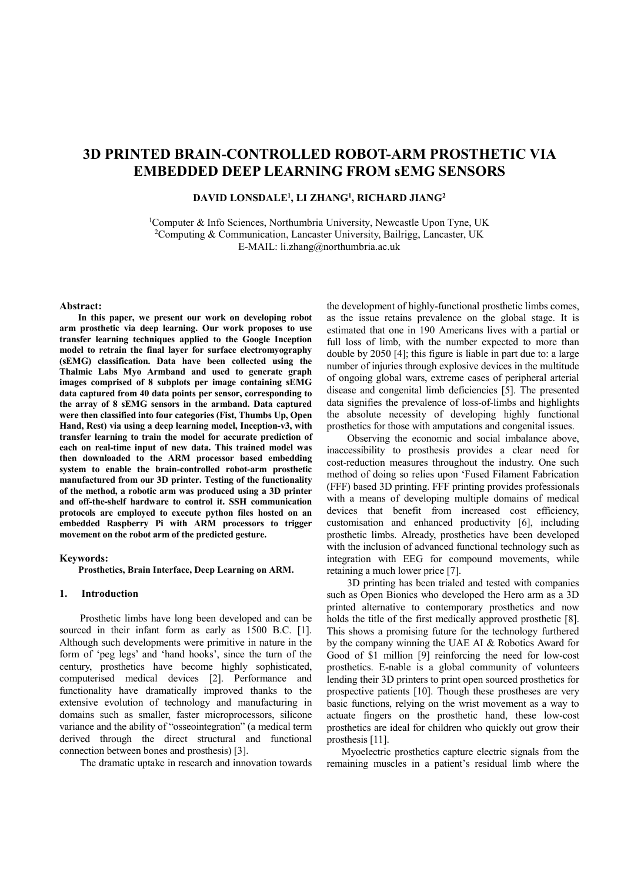# **3D PRINTED BRAIN-CONTROLLED ROBOT-ARM PROSTHETIC VIA EMBEDDED DEEP LEARNING FROM sEMG SENSORS**

## **DAVID LONSDALE<sup>1</sup> , LI ZHANG<sup>1</sup> , RICHARD JIANG<sup>2</sup>**

<sup>1</sup>Computer & Info Sciences, Northumbria University, Newcastle Upon Tyne, UK <sup>2</sup>Computing & Communication, Lancaster University, Bailrigg, Lancaster, UK E-MAIL: li.zhang@northumbria.ac.uk

#### **Abstract:**

**In this paper, we present our work on developing robot arm prosthetic via deep learning. Our work proposes to use transfer learning techniques applied to the Google Inception model to retrain the final layer for surface electromyography (sEMG) classification. Data have been collected using the Thalmic Labs Myo Armband and used to generate graph images comprised of 8 subplots per image containing sEMG data captured from 40 data points per sensor, corresponding to the array of 8 sEMG sensors in the armband. Data captured were then classified into four categories (Fist, Thumbs Up, Open Hand, Rest) via using a deep learning model, Inception-v3, with transfer learning to train the model for accurate prediction of each on real-time input of new data. This trained model was then downloaded to the ARM processor based embedding system to enable the brain-controlled robot-arm prosthetic manufactured from our 3D printer. Testing of the functionality of the method, a robotic arm was produced using a 3D printer and off-the-shelf hardware to control it. SSH communication protocols are employed to execute python files hosted on an embedded Raspberry Pi with ARM processors to trigger movement on the robot arm of the predicted gesture.**

#### **Keywords:**

**Prosthetics, Brain Interface, Deep Learning on ARM.**

## **1. Introduction**

Prosthetic limbs have long been developed and can be sourced in their infant form as early as 1500 B.C. [1]. Although such developments were primitive in nature in the form of 'peg legs' and 'hand hooks', since the turn of the century, prosthetics have become highly sophisticated, computerised medical devices [2]. Performance and functionality have dramatically improved thanks to the extensive evolution of technology and manufacturing in domains such as smaller, faster microprocessors, silicone variance and the ability of "osseointegration" (a medical term derived through the direct structural and functional connection between bones and prosthesis) [3].

The dramatic uptake in research and innovation towards

the development of highly-functional prosthetic limbs comes, as the issue retains prevalence on the global stage. It is estimated that one in 190 Americans lives with a partial or full loss of limb, with the number expected to more than double by 2050 [4]; this figure is liable in part due to: a large number of injuries through explosive devices in the multitude of ongoing global wars, extreme cases of peripheral arterial disease and congenital limb deficiencies [5]. The presented data signifies the prevalence of loss-of-limbs and highlights the absolute necessity of developing highly functional prosthetics for those with amputations and congenital issues.

Observing the economic and social imbalance above, inaccessibility to prosthesis provides a clear need for cost-reduction measures throughout the industry. One such method of doing so relies upon 'Fused Filament Fabrication (FFF) based 3D printing. FFF printing provides professionals with a means of developing multiple domains of medical devices that benefit from increased cost efficiency, customisation and enhanced productivity [6], including prosthetic limbs. Already, prosthetics have been developed with the inclusion of advanced functional technology such as integration with EEG for compound movements, while retaining a much lower price [7].

3D printing has been trialed and tested with companies such as Open Bionics who developed the Hero arm as a 3D printed alternative to contemporary prosthetics and now holds the title of the first medically approved prosthetic [8]. This shows a promising future for the technology furthered by the company winning the UAE AI & Robotics Award for Good of \$1 million [9] reinforcing the need for low-cost prosthetics. E-nable is a global community of volunteers lending their 3D printers to print open sourced prosthetics for prospective patients [10]. Though these prostheses are very basic functions, relying on the wrist movement as a way to actuate fingers on the prosthetic hand, these low-cost prosthetics are ideal for children who quickly out grow their prosthesis [11].

Myoelectric prosthetics capture electric signals from the remaining muscles in a patient's residual limb where the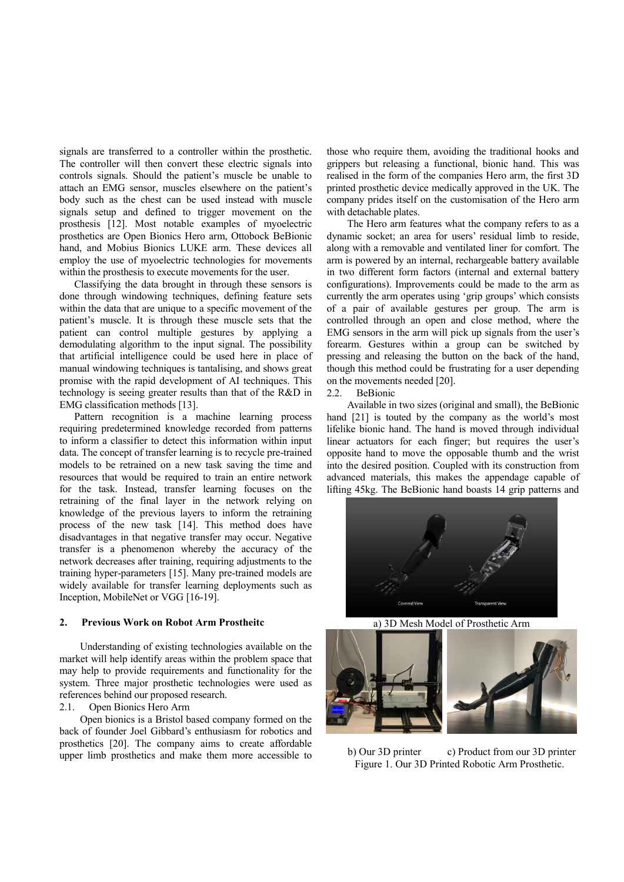signals are transferred to a controller within the prosthetic. The controller will then convert these electric signals into controls signals. Should the patient's muscle be unable to attach an EMG sensor, muscles elsewhere on the patient's body such as the chest can be used instead with muscle signals setup and defined to trigger movement on the prosthesis [12]. Most notable examples of myoelectric prosthetics are Open Bionics Hero arm, Ottobock BeBionic hand, and Mobius Bionics LUKE arm. These devices all employ the use of myoelectric technologies for movements within the prosthesis to execute movements for the user.

Classifying the data brought in through these sensors is done through windowing techniques, defining feature sets within the data that are unique to a specific movement of the patient's muscle. It is through these muscle sets that the patient can control multiple gestures by applying a demodulating algorithm to the input signal. The possibility that artificial intelligence could be used here in place of manual windowing techniques is tantalising, and shows great promise with the rapid development of AI techniques. This technology is seeing greater results than that of the R&D in EMG classification methods [13].

Pattern recognition is a machine learning process requiring predetermined knowledge recorded from patterns to inform a classifier to detect this information within input data. The concept of transfer learning is to recycle pre-trained models to be retrained on a new task saving the time and resources that would be required to train an entire network for the task. Instead, transfer learning focuses on the retraining of the final layer in the network relying on knowledge of the previous layers to inform the retraining process of the new task [14]. This method does have disadvantages in that negative transfer may occur. Negative transfer is a phenomenon whereby the accuracy of the network decreases after training, requiring adjustments to the training hyper-parameters [15]. Many pre-trained models are widely available for transfer learning deployments such as Inception, MobileNet or VGG [16-19].

#### **2. Previous Work on Robot Arm Prostheitc**

Understanding of existing technologies available on the market will help identify areas within the problem space that may help to provide requirements and functionality for the system. Three major prosthetic technologies were used as references behind our proposed research.

# 2.1. Open Bionics Hero Arm

Open bionics is a Bristol based company formed on the back of founder Joel Gibbard's enthusiasm for robotics and prosthetics [20]. The company aims to create affordable upper limb prosthetics and make them more accessible to those who require them, avoiding the traditional hooks and grippers but releasing a functional, bionic hand. This was realised in the form of the companies Hero arm, the first 3D printed prosthetic device medically approved in the UK. The company prides itself on the customisation of the Hero arm with detachable plates.

The Hero arm features what the company refers to as a dynamic socket; an area for users' residual limb to reside, along with a removable and ventilated liner for comfort. The arm is powered by an internal, rechargeable battery available in two different form factors (internal and external battery configurations). Improvements could be made to the arm as currently the arm operates using 'grip groups' which consists of a pair of available gestures per group. The arm is controlled through an open and close method, where the EMG sensors in the arm will pick up signals from the user's forearm. Gestures within a group can be switched by pressing and releasing the button on the back of the hand, though this method could be frustrating for a user depending on the movements needed [20].

2.2. BeBionic

Available in two sizes (original and small), the BeBionic hand [21] is touted by the company as the world's most lifelike bionic hand. The hand is moved through individual linear actuators for each finger; but requires the user's opposite hand to move the opposable thumb and the wrist into the desired position. Coupled with its construction from advanced materials, this makes the appendage capable of lifting 45kg. The BeBionic hand boasts 14 grip patterns and



a) 3D Mesh Model of Prosthetic Arm



b) Our 3D printer c) Product from our 3D printer Figure 1. Our 3D Printed Robotic Arm Prosthetic.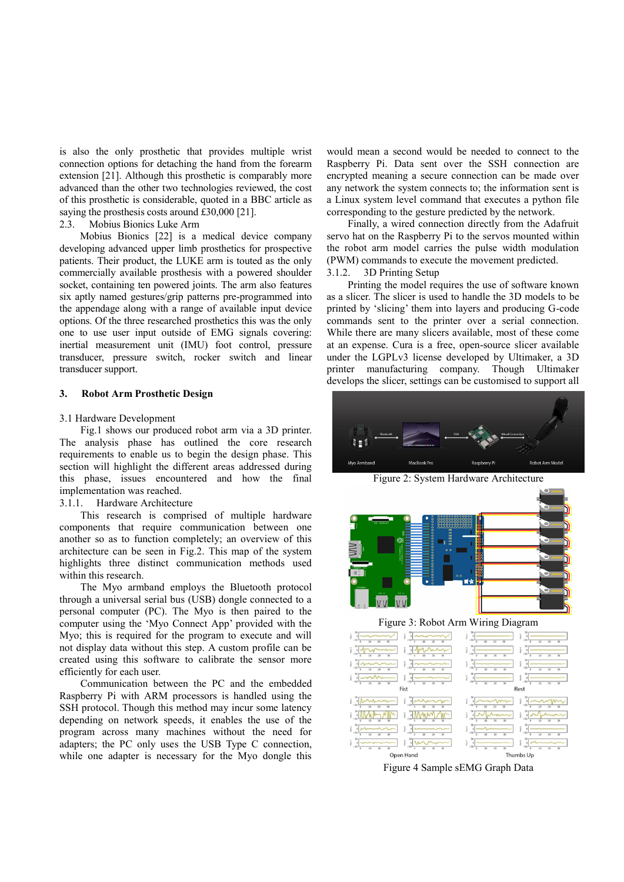is also the only prosthetic that provides multiple wrist connection options for detaching the hand from the forearm extension [21]. Although this prosthetic is comparably more advanced than the other two technologies reviewed, the cost of this prosthetic is considerable, quoted in a BBC article as saying the prosthesis costs around £30,000 [21].

#### 2.3. Mobius Bionics Luke Arm

Mobius Bionics [22] is a medical device company developing advanced upper limb prosthetics for prospective patients. Their product, the LUKE arm is touted as the only commercially available prosthesis with a powered shoulder socket, containing ten powered joints. The arm also features six aptly named gestures/grip patterns pre-programmed into the appendage along with a range of available input device options. Of the three researched prosthetics this was the only one to use user input outside of EMG signals covering: inertial measurement unit (IMU) foot control, pressure transducer, pressure switch, rocker switch and linear transducer support.

# **3. Robot Arm Prosthetic Design**

## 3.1 Hardware Development

Fig.1 shows our produced robot arm via a 3D printer. The analysis phase has outlined the core research requirements to enable us to begin the design phase. This section will highlight the different areas addressed during this phase, issues encountered and how the final implementation was reached.

# 3.1.1. Hardware Architecture

This research is comprised of multiple hardware components that require communication between one another so as to function completely; an overview of this architecture can be seen in Fig.2. This map of the system highlights three distinct communication methods used within this research.

The Myo armband employs the Bluetooth protocol through a universal serial bus (USB) dongle connected to a personal computer (PC). The Myo is then paired to the computer using the 'Myo Connect App' provided with the Myo; this is required for the program to execute and will not display data without this step. A custom profile can be created using this software to calibrate the sensor more efficiently for each user.

Communication between the PC and the embedded Raspberry Pi with ARM processors is handled using the SSH protocol. Though this method may incur some latency depending on network speeds, it enables the use of the program across many machines without the need for adapters; the PC only uses the USB Type C connection, while one adapter is necessary for the Myo dongle this

would mean a second would be needed to connect to the Raspberry Pi. Data sent over the SSH connection are encrypted meaning a secure connection can be made over any network the system connects to; the information sent is a Linux system level command that executes a python file corresponding to the gesture predicted by the network.

Finally, a wired connection directly from the Adafruit servo hat on the Raspberry Pi to the servos mounted within the robot arm model carries the pulse width modulation (PWM) commands to execute the movement predicted. 3.1.2. 3D Printing Setup

Printing the model requires the use of software known as a slicer. The slicer is used to handle the 3D models to be printed by 'slicing' them into layers and producing G-code commands sent to the printer over a serial connection. While there are many slicers available, most of these come at an expense. Cura is a free, open-source slicer available under the LGPLv3 license developed by Ultimaker, a 3D printer manufacturing company. Though Ultimaker develops the slicer, settings can be customised to support all





Figure 3: Robot Arm Wiring Diagram

| į<br>ĵ<br>$-50$<br>$-50$<br>30<br>$\overline{10}$<br>20<br>$\overline{30}$<br>20<br>ö                                   | ï<br>ĩ<br>$\circ$<br>$-50$<br>$-50$<br>30<br>$\overline{10}$<br>20<br>10<br>$\overline{30}$<br>20<br>ö<br>$\overline{0}$                                              |
|-------------------------------------------------------------------------------------------------------------------------|-----------------------------------------------------------------------------------------------------------------------------------------------------------------------|
| ĵ<br>$\circ$<br>$\overline{30}$<br>$\overline{\mathbf{x}}$<br>30<br>$\overline{20}$                                     | 50<br>50<br>î<br>$\frac{\epsilon}{2}$<br>$\circ$<br>ó<br>$-50$<br>$-50$<br>$\overline{30}$<br>$\overline{20}$<br>$\overline{10}$                                      |
| 50<br>î                                                                                                                 | 10<br>10<br>20<br>50<br>50<br>ĵ<br>ž<br>$\circ$<br>$\circ$<br>$-50$<br>$-50$                                                                                          |
| $\overline{30}$<br>$\overline{30}$<br>$\overline{20}$<br>$\overline{\mathbf{x}}$<br>ž<br>ĵ                              | $\overline{\infty}$<br>$\overline{20}$<br>$\overline{10}$<br>$\overline{20}$<br>30<br>10<br>o<br>$^{56}$<br>$\overline{\mathcal{L}}$<br>ï<br>ï<br>$\alpha$<br>o       |
| $-50$<br>$\overline{30}$<br>$\overline{30}$<br>$\overline{10}$<br>76<br>$\overline{20}$<br>20<br>Fist                   | $-502$<br>$-50$<br>10<br>$\overline{20}$<br>30<br>10<br>$\overline{30}$<br>ō<br>$\overline{0}$<br>20<br>Rest                                                          |
| $\frac{1}{2}$ -50 $\frac{1}{2}$<br>$\overline{30}$<br>$\overline{30}$<br>20<br>$\overline{20}$<br>$\overline{10}$       | ĩ.<br>ï<br>$\circ$<br>$-50$<br>$-50$<br>$\overline{30}$<br>$\overline{10}$<br>$\overline{20}$<br>$\overline{30}$<br>$\overline{10}$<br>$\overline{20}$<br>ö           |
| ĵ<br>$\overline{10}$<br>$\overline{10}$<br>$\overline{10}$<br>20                                                        | $\frac{1}{2}$<br>ž<br>$\circ$<br>$\circ$<br>$-50$<br>$\overline{30}$<br>$\overline{10}$<br>20<br>$\overline{30}$                                                      |
| 50<br>ĵ<br>ž<br>$-50$<br>$-50$<br>$\overline{30}$<br>$\overline{\mathbf{x}}$<br>$\frac{1}{20}$<br>10<br>$\overline{30}$ | $^{56}$<br>50<br>š<br>Post is<br>$\circ$<br>$\circ$<br>$-50$<br>$-50$<br>$\overline{\mathbf{x}}$<br>$\overline{20}$<br>$\overline{10}$<br>10<br>20<br>$\overline{30}$ |
| 50<br>50<br>ĩ<br>$\frac{a}{2}$<br>$\overline{20}$<br>$\overline{30}$<br>$\overline{\mathbf{8}}$<br>$\overline{20}$      | 50<br>50<br>ï<br>ĵ<br>$\circ$<br>$\circ$<br>$-50L$<br>$-50$<br>$\overline{\mathbf{x}}$<br>$\overline{10}$<br>20<br>30<br>10<br>20<br>76                               |
| Open Hand                                                                                                               | Thumbs Up                                                                                                                                                             |

Figure 4 Sample sEMG Graph Data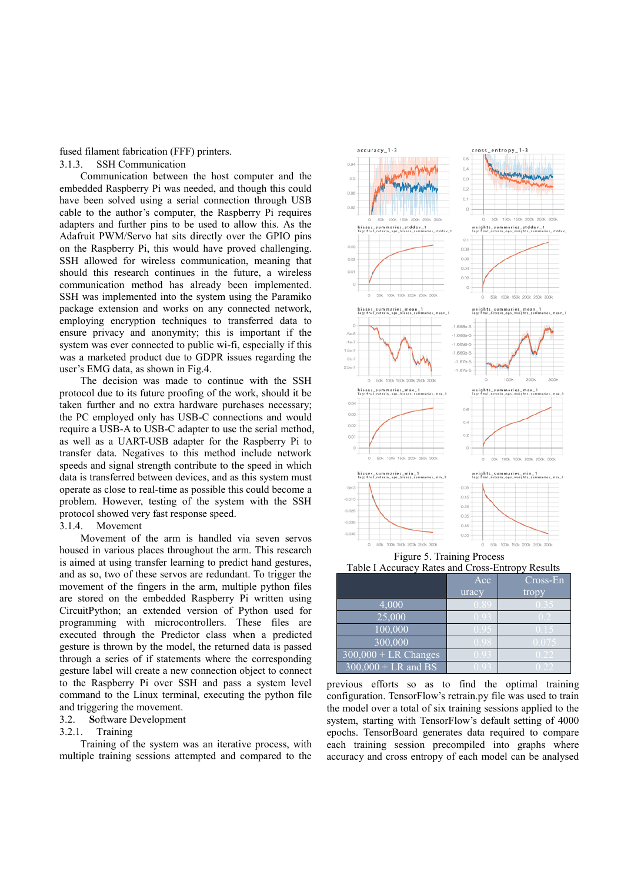## fused filament fabrication (FFF) printers. 3.1.3. SSH Communication

Communication between the host computer and the embedded Raspberry Pi was needed, and though this could have been solved using a serial connection through USB cable to the author's computer, the Raspberry Pi requires adapters and further pins to be used to allow this. As the Adafruit PWM/Servo hat sits directly over the GPIO pins on the Raspberry Pi, this would have proved challenging. SSH allowed for wireless communication, meaning that should this research continues in the future, a wireless communication method has already been implemented. SSH was implemented into the system using the Paramiko package extension and works on any connected network, employing encryption techniques to transferred data to ensure privacy and anonymity; this is important if the system was ever connected to public wi-fi, especially if this was a marketed product due to GDPR issues regarding the user's EMG data, as shown in Fig.4.

The decision was made to continue with the SSH protocol due to its future proofing of the work, should it be taken further and no extra hardware purchases necessary; the PC employed only has USB-C connections and would require a USB-A to USB-C adapter to use the serial method, as well as a UART-USB adapter for the Raspberry Pi to transfer data. Negatives to this method include network speeds and signal strength contribute to the speed in which data is transferred between devices, and as this system must operate as close to real-time as possible this could become a problem. However, testing of the system with the SSH protocol showed very fast response speed.

## 3.1.4. Movement

Movement of the arm is handled via seven servos housed in various places throughout the arm. This research is aimed at using transfer learning to predict hand gestures, and as so, two of these servos are redundant. To trigger the movement of the fingers in the arm, multiple python files are stored on the embedded Raspberry Pi written using CircuitPython; an extended version of Python used for programming with microcontrollers. These files are executed through the Predictor class when a predicted gesture is thrown by the model, the returned data is passed through a series of if statements where the corresponding gesture label will create a new connection object to connect to the Raspberry Pi over SSH and pass a system level command to the Linux terminal, executing the python file and triggering the movement.

#### 3.2. **S**oftware Development

#### 3.2.1. Training

Training of the system was an iterative process, with multiple training sessions attempted and compared to the



Figure 5. Training Process Table I Accuracy Rates and Cross-Entropy Results

|                                           | Acc   | Cross-En |
|-------------------------------------------|-------|----------|
|                                           | uracy | tropy    |
| 4,000                                     |       |          |
| 25,000                                    |       |          |
| 100,000                                   |       |          |
| 300,000                                   |       |          |
| $\overline{300,000 + \text{LR} }$ Changes |       |          |
| $300,000 + LR$ and BS                     |       |          |

previous efforts so as to find the optimal training configuration. TensorFlow's retrain.py file was used to train the model over a total of six training sessions applied to the system, starting with TensorFlow's default setting of 4000 epochs. TensorBoard generates data required to compare each training session precompiled into graphs where accuracy and cross entropy of each model can be analysed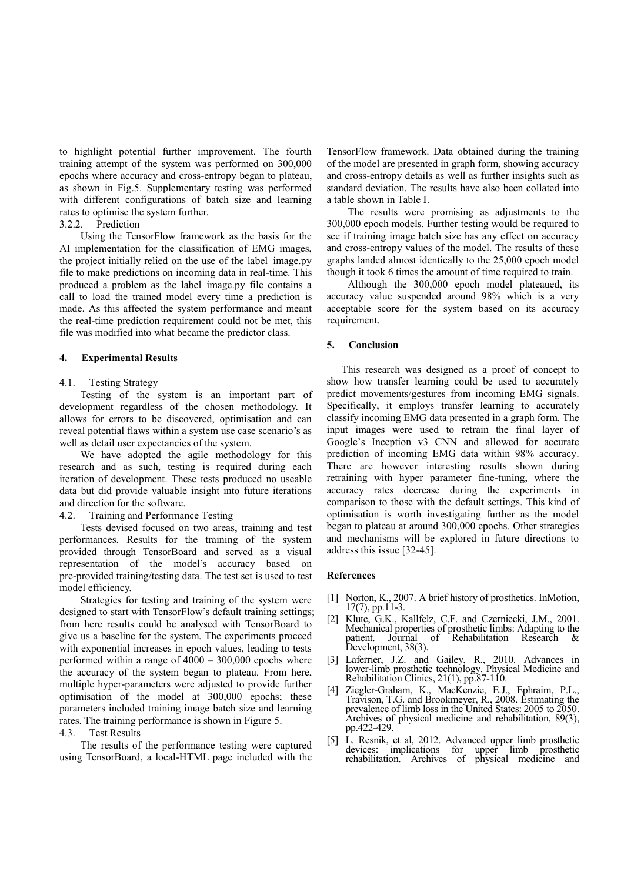to highlight potential further improvement. The fourth training attempt of the system was performed on 300,000 epochs where accuracy and cross-entropy began to plateau, as shown in Fig.5. Supplementary testing was performed with different configurations of batch size and learning rates to optimise the system further.

## 3.2.2. Prediction

Using the TensorFlow framework as the basis for the AI implementation for the classification of EMG images, the project initially relied on the use of the label\_image.py file to make predictions on incoming data in real-time. This produced a problem as the label\_image.py file contains a call to load the trained model every time a prediction is made. As this affected the system performance and meant the real-time prediction requirement could not be met, this file was modified into what became the predictor class.

## **4. Experimental Results**

## 4.1. Testing Strategy

Testing of the system is an important part of development regardless of the chosen methodology. It allows for errors to be discovered, optimisation and can reveal potential flaws within a system use case scenario's as well as detail user expectancies of the system.

We have adopted the agile methodology for this research and as such, testing is required during each iteration of development. These tests produced no useable data but did provide valuable insight into future iterations and direction for the software.

## 4.2. Training and Performance Testing

Tests devised focused on two areas, training and test performances. Results for the training of the system provided through TensorBoard and served as a visual representation of the model's accuracy based on pre-provided training/testing data. The test set is used to test model efficiency.

Strategies for testing and training of the system were designed to start with TensorFlow's default training settings; from here results could be analysed with TensorBoard to give us a baseline for the system. The experiments proceed with exponential increases in epoch values, leading to tests performed within a range of 4000 – 300,000 epochs where the accuracy of the system began to plateau. From here, multiple hyper-parameters were adjusted to provide further optimisation of the model at 300,000 epochs; these parameters included training image batch size and learning rates. The training performance is shown in Figure 5.

# 4.3. Test Results

The results of the performance testing were captured using TensorBoard, a local-HTML page included with the TensorFlow framework. Data obtained during the training of the model are presented in graph form, showing accuracy and cross-entropy details as well as further insights such as standard deviation. The results have also been collated into a table shown in Table I.

The results were promising as adjustments to the 300,000 epoch models. Further testing would be required to see if training image batch size has any effect on accuracy and cross-entropy values of the model. The results of these graphs landed almost identically to the 25,000 epoch model though it took 6 times the amount of time required to train.

Although the 300,000 epoch model plateaued, its accuracy value suspended around 98% which is a very acceptable score for the system based on its accuracy requirement.

## **5. Conclusion**

This research was designed as a proof of concept to show how transfer learning could be used to accurately predict movements/gestures from incoming EMG signals. Specifically, it employs transfer learning to accurately classify incoming EMG data presented in a graph form. The input images were used to retrain the final layer of Google's Inception v3 CNN and allowed for accurate prediction of incoming EMG data within 98% accuracy. There are however interesting results shown during retraining with hyper parameter fine-tuning, where the accuracy rates decrease during the experiments in comparison to those with the default settings. This kind of optimisation is worth investigating further as the model began to plateau at around 300,000 epochs. Other strategies and mechanisms will be explored in future directions to address this issue [32-45].

#### **References**

- [1] Norton, K., 2007. A brief history of prosthetics. InMotion, 17(7), pp.11-3.
- [2] Klute, G.K., Kallfelz, C.F. and Czerniecki, J.M., 2001. Mechanical properties of prosthetic limbs: Adapting to the patient. Journal of Rehabilitation Research & patient. Journal<br>Development, 38(3).
- [3] Laferrier, J.Z. and Gailey, R., 2010. Advances in lower-limb prosthetic technology. Physical Medicine and Rehabilitation Clinics, 21(1), pp.87-110.
- [4] Ziegler-Graham, K., MacKenzie, E.J., Ephraim, P.L., Travison, T.G. and Brookmeyer, R., 2008. Estimating the prevalence of limb loss in the United States: 2005 to 2050. Archives of physical medicine and rehabilitation, 89(3), pp.422-429.
- [5] L. Resnik, et al, 2012. Advanced upper limb prosthetic devices: implications for upper limb prosthetic rehabilitation. Archives of physical medicine and